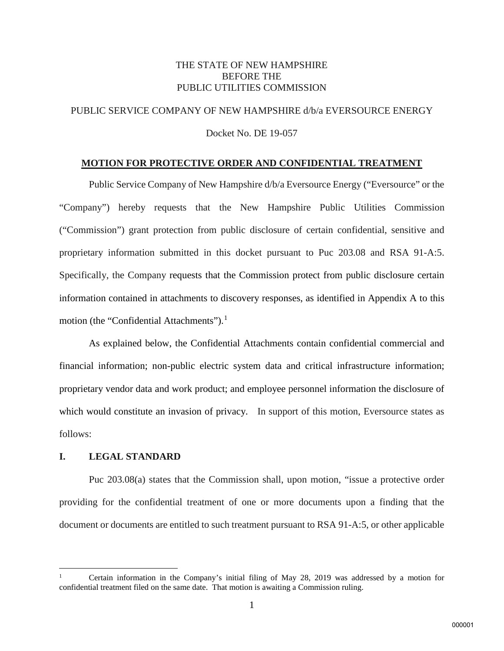# THE STATE OF NEW HAMPSHIRE BEFORE THE PUBLIC UTILITIES COMMISSION

# PUBLIC SERVICE COMPANY OF NEW HAMPSHIRE d/b/a EVERSOURCE ENERGY

Docket No. DE 19-057

## **MOTION FOR PROTECTIVE ORDER AND CONFIDENTIAL TREATMENT**

Public Service Company of New Hampshire d/b/a Eversource Energy ("Eversource" or the "Company") hereby requests that the New Hampshire Public Utilities Commission ("Commission") grant protection from public disclosure of certain confidential, sensitive and proprietary information submitted in this docket pursuant to Puc 203.08 and RSA 91-A:5. Specifically, the Company requests that the Commission protect from public disclosure certain information contained in attachments to discovery responses, as identified in Appendix A to this motion (the "Confidential Attachments"). $<sup>1</sup>$  $<sup>1</sup>$  $<sup>1</sup>$ </sup>

As explained below, the Confidential Attachments contain confidential commercial and financial information; non-public electric system data and critical infrastructure information; proprietary vendor data and work product; and employee personnel information the disclosure of which would constitute an invasion of privacy. In support of this motion, Eversource states as follows:

# **I. LEGAL STANDARD**

l

Puc 203.08(a) states that the Commission shall, upon motion, "issue a protective order providing for the confidential treatment of one or more documents upon a finding that the document or documents are entitled to such treatment pursuant to RSA 91-A:5, or other applicable

<span id="page-0-0"></span><sup>1</sup> Certain information in the Company's initial filing of May 28, 2019 was addressed by a motion for confidential treatment filed on the same date. That motion is awaiting a Commission ruling.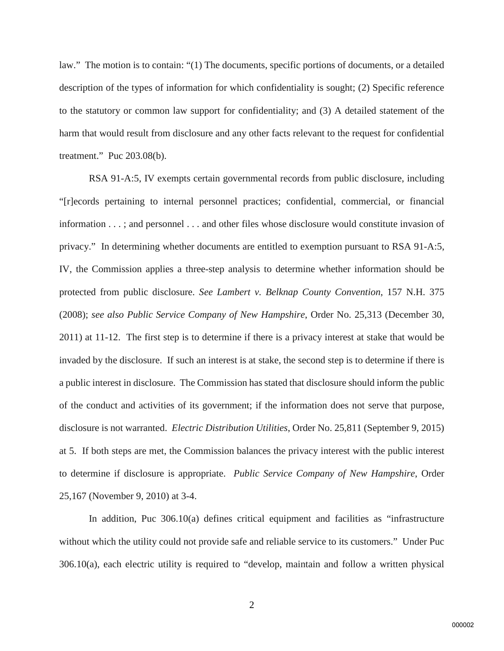law." The motion is to contain: "(1) The documents, specific portions of documents, or a detailed description of the types of information for which confidentiality is sought; (2) Specific reference to the statutory or common law support for confidentiality; and (3) A detailed statement of the harm that would result from disclosure and any other facts relevant to the request for confidential treatment." Puc 203.08(b).

RSA 91-A:5, IV exempts certain governmental records from public disclosure, including "[r]ecords pertaining to internal personnel practices; confidential, commercial, or financial information . . . ; and personnel . . . and other files whose disclosure would constitute invasion of privacy." In determining whether documents are entitled to exemption pursuant to RSA 91-A:5, IV, the Commission applies a three-step analysis to determine whether information should be protected from public disclosure. *See Lambert v. Belknap County Convention*, 157 N.H. 375 (2008); *see also Public Service Company of New Hampshire*, Order No. 25,313 (December 30, 2011) at 11-12. The first step is to determine if there is a privacy interest at stake that would be invaded by the disclosure. If such an interest is at stake, the second step is to determine if there is a public interest in disclosure. The Commission has stated that disclosure should inform the public of the conduct and activities of its government; if the information does not serve that purpose, disclosure is not warranted. *Electric Distribution Utilities*, Order No. 25,811 (September 9, 2015) at 5. If both steps are met, the Commission balances the privacy interest with the public interest to determine if disclosure is appropriate. *Public Service Company of New Hampshire*, Order 25,167 (November 9, 2010) at 3-4.

In addition, Puc 306.10(a) defines critical equipment and facilities as "infrastructure without which the utility could not provide safe and reliable service to its customers." Under Puc 306.10(a), each electric utility is required to "develop, maintain and follow a written physical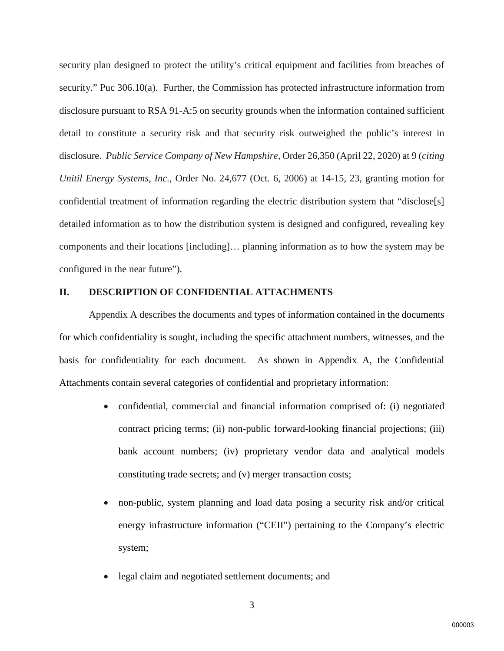security plan designed to protect the utility's critical equipment and facilities from breaches of security." Puc 306.10(a). Further, the Commission has protected infrastructure information from disclosure pursuant to RSA 91-A:5 on security grounds when the information contained sufficient detail to constitute a security risk and that security risk outweighed the public's interest in disclosure. *Public Service Company of New Hampshire*, Order 26,350 (April 22, 2020) at 9 (*citing Unitil Energy Systems, Inc.*, Order No. 24,677 (Oct. 6, 2006) at 14-15, 23, granting motion for confidential treatment of information regarding the electric distribution system that "disclose[s] detailed information as to how the distribution system is designed and configured, revealing key components and their locations [including]… planning information as to how the system may be configured in the near future").

### **II. DESCRIPTION OF CONFIDENTIAL ATTACHMENTS**

Appendix A describes the documents and types of information contained in the documents for which confidentiality is sought, including the specific attachment numbers, witnesses, and the basis for confidentiality for each document. As shown in Appendix A, the Confidential Attachments contain several categories of confidential and proprietary information:

- confidential, commercial and financial information comprised of: (i) negotiated contract pricing terms; (ii) non-public forward-looking financial projections; (iii) bank account numbers; (iv) proprietary vendor data and analytical models constituting trade secrets; and (v) merger transaction costs;
- non-public, system planning and load data posing a security risk and/or critical energy infrastructure information ("CEII") pertaining to the Company's electric system;
- legal claim and negotiated settlement documents; and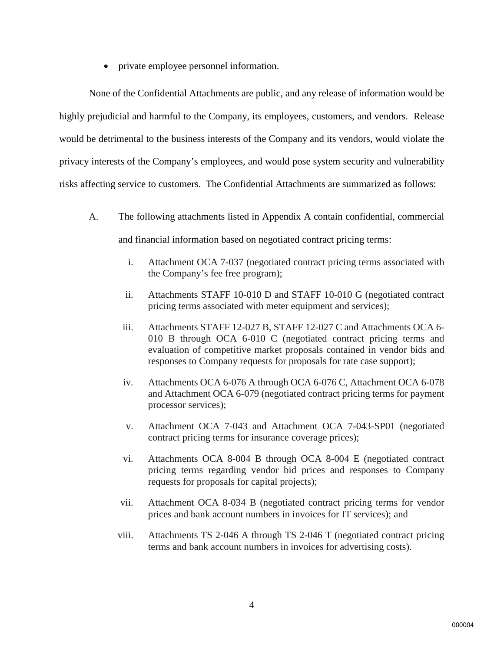• private employee personnel information.

None of the Confidential Attachments are public, and any release of information would be highly prejudicial and harmful to the Company, its employees, customers, and vendors. Release would be detrimental to the business interests of the Company and its vendors, would violate the privacy interests of the Company's employees, and would pose system security and vulnerability risks affecting service to customers. The Confidential Attachments are summarized as follows:

- A. The following attachments listed in Appendix A contain confidential, commercial and financial information based on negotiated contract pricing terms:
	- i. Attachment OCA 7-037 (negotiated contract pricing terms associated with the Company's fee free program);
	- ii. Attachments STAFF 10-010 D and STAFF 10-010 G (negotiated contract pricing terms associated with meter equipment and services);
	- iii. Attachments STAFF 12-027 B, STAFF 12-027 C and Attachments OCA 6- 010 B through OCA 6-010 C (negotiated contract pricing terms and evaluation of competitive market proposals contained in vendor bids and responses to Company requests for proposals for rate case support);
	- iv. Attachments OCA 6-076 A through OCA 6-076 C, Attachment OCA 6-078 and Attachment OCA 6-079 (negotiated contract pricing terms for payment processor services);
	- v. Attachment OCA 7-043 and Attachment OCA 7-043-SP01 (negotiated contract pricing terms for insurance coverage prices);
	- vi. Attachments OCA 8-004 B through OCA 8-004 E (negotiated contract pricing terms regarding vendor bid prices and responses to Company requests for proposals for capital projects);
	- vii. Attachment OCA 8-034 B (negotiated contract pricing terms for vendor prices and bank account numbers in invoices for IT services); and
	- viii. Attachments TS 2-046 A through TS 2-046 T (negotiated contract pricing terms and bank account numbers in invoices for advertising costs).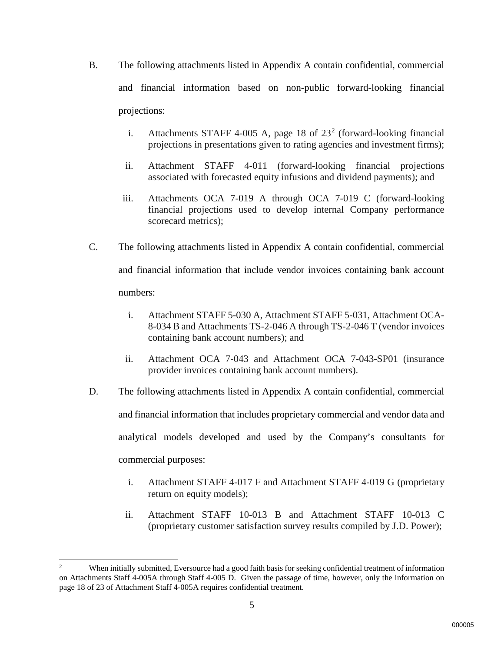- B. The following attachments listed in Appendix A contain confidential, commercial and financial information based on non-public forward-looking financial projections:
	- i. Attachments STAFF 4-005 A, page 18 of  $23<sup>2</sup>$  $23<sup>2</sup>$  (forward-looking financial projections in presentations given to rating agencies and investment firms);
	- ii. Attachment STAFF 4-011 (forward-looking financial projections associated with forecasted equity infusions and dividend payments); and
	- iii. Attachments OCA 7-019 A through OCA 7-019 C (forward-looking financial projections used to develop internal Company performance scorecard metrics);
- C. The following attachments listed in Appendix A contain confidential, commercial and financial information that include vendor invoices containing bank account numbers:
	- i. Attachment STAFF 5-030 A, Attachment STAFF 5-031, Attachment OCA-8-034 B and Attachments TS-2-046 A through TS-2-046 T (vendor invoices containing bank account numbers); and
	- ii. Attachment OCA 7-043 and Attachment OCA 7-043-SP01 (insurance provider invoices containing bank account numbers).
- D. The following attachments listed in Appendix A contain confidential, commercial and financial information that includes proprietary commercial and vendor data and analytical models developed and used by the Company's consultants for commercial purposes:
	- i. Attachment STAFF 4-017 F and Attachment STAFF 4-019 G (proprietary return on equity models);
	- ii. Attachment STAFF 10-013 B and Attachment STAFF 10-013 C (proprietary customer satisfaction survey results compiled by J.D. Power);

l

<span id="page-4-0"></span><sup>2</sup> When initially submitted, Eversource had a good faith basis for seeking confidential treatment of information on Attachments Staff 4-005A through Staff 4-005 D. Given the passage of time, however, only the information on page 18 of 23 of Attachment Staff 4-005A requires confidential treatment.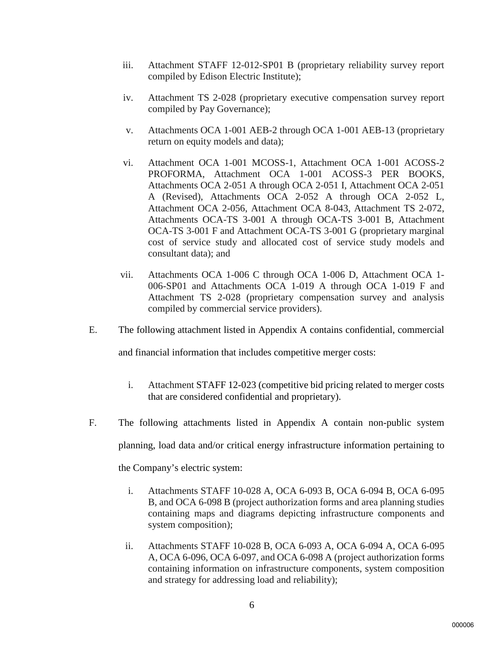- iii. Attachment STAFF 12-012-SP01 B (proprietary reliability survey report compiled by Edison Electric Institute);
- iv. Attachment TS 2-028 (proprietary executive compensation survey report compiled by Pay Governance);
- v. Attachments OCA 1-001 AEB-2 through OCA 1-001 AEB-13 (proprietary return on equity models and data);
- vi. Attachment OCA 1-001 MCOSS-1, Attachment OCA 1-001 ACOSS-2 PROFORMA, Attachment OCA 1-001 ACOSS-3 PER BOOKS, Attachments OCA 2-051 A through OCA 2-051 I, Attachment OCA 2-051 A (Revised), Attachments OCA 2-052 A through OCA 2-052 L, Attachment OCA 2-056, Attachment OCA 8-043, Attachment TS 2-072, Attachments OCA-TS 3-001 A through OCA-TS 3-001 B, Attachment OCA-TS 3-001 F and Attachment OCA-TS 3-001 G (proprietary marginal cost of service study and allocated cost of service study models and consultant data); and
- vii. Attachments OCA 1-006 C through OCA 1-006 D, Attachment OCA 1- 006-SP01 and Attachments OCA 1-019 A through OCA 1-019 F and Attachment TS 2-028 (proprietary compensation survey and analysis compiled by commercial service providers).
- E. The following attachment listed in Appendix A contains confidential, commercial

and financial information that includes competitive merger costs:

- i. Attachment STAFF 12-023 (competitive bid pricing related to merger costs that are considered confidential and proprietary).
- F. The following attachments listed in Appendix A contain non-public system

planning, load data and/or critical energy infrastructure information pertaining to

the Company's electric system:

- i. Attachments STAFF 10-028 A, OCA 6-093 B, OCA 6-094 B, OCA 6-095 B, and OCA 6-098 B (project authorization forms and area planning studies containing maps and diagrams depicting infrastructure components and system composition);
- ii. Attachments STAFF 10-028 B, OCA 6-093 A, OCA 6-094 A, OCA 6-095 A, OCA 6-096, OCA 6-097, and OCA 6-098 A (project authorization forms containing information on infrastructure components, system composition and strategy for addressing load and reliability);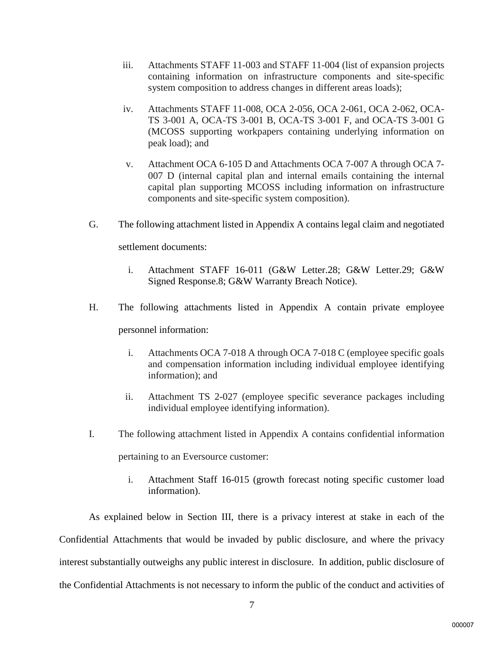- iii. Attachments STAFF 11-003 and STAFF 11-004 (list of expansion projects containing information on infrastructure components and site-specific system composition to address changes in different areas loads);
- iv. Attachments STAFF 11-008, OCA 2-056, OCA 2-061, OCA 2-062, OCA-TS 3-001 A, OCA-TS 3-001 B, OCA-TS 3-001 F, and OCA-TS 3-001 G (MCOSS supporting workpapers containing underlying information on peak load); and
- v. Attachment OCA 6-105 D and Attachments OCA 7-007 A through OCA 7- 007 D (internal capital plan and internal emails containing the internal capital plan supporting MCOSS including information on infrastructure components and site-specific system composition).
- G. The following attachment listed in Appendix A contains legal claim and negotiated

settlement documents:

- i. Attachment STAFF 16-011 (G&W Letter.28; G&W Letter.29; G&W Signed Response.8; G&W Warranty Breach Notice).
- H. The following attachments listed in Appendix A contain private employee personnel information:
	- i. Attachments OCA 7-018 A through OCA 7-018 C (employee specific goals and compensation information including individual employee identifying information); and
	- ii. Attachment TS 2-027 (employee specific severance packages including individual employee identifying information).
- I. The following attachment listed in Appendix A contains confidential information pertaining to an Eversource customer:
	- i. Attachment Staff 16-015 (growth forecast noting specific customer load information).

As explained below in Section III, there is a privacy interest at stake in each of the Confidential Attachments that would be invaded by public disclosure, and where the privacy interest substantially outweighs any public interest in disclosure. In addition, public disclosure of the Confidential Attachments is not necessary to inform the public of the conduct and activities of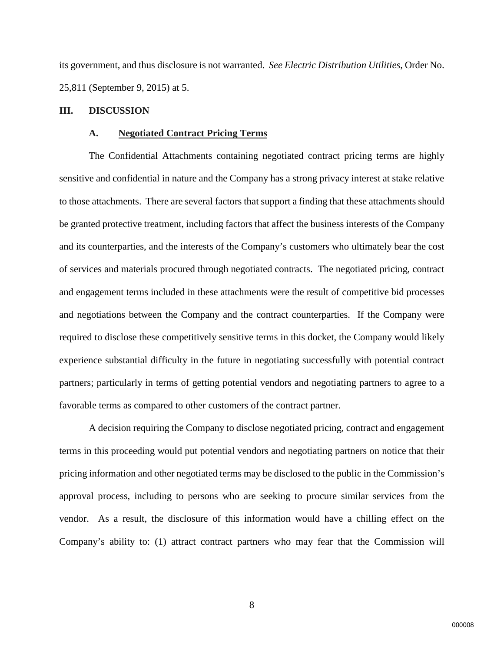its government, and thus disclosure is not warranted. *See Electric Distribution Utilities*, Order No. 25,811 (September 9, 2015) at 5.

## **III. DISCUSSION**

#### **A. Negotiated Contract Pricing Terms**

The Confidential Attachments containing negotiated contract pricing terms are highly sensitive and confidential in nature and the Company has a strong privacy interest at stake relative to those attachments. There are several factors that support a finding that these attachments should be granted protective treatment, including factors that affect the business interests of the Company and its counterparties, and the interests of the Company's customers who ultimately bear the cost of services and materials procured through negotiated contracts. The negotiated pricing, contract and engagement terms included in these attachments were the result of competitive bid processes and negotiations between the Company and the contract counterparties. If the Company were required to disclose these competitively sensitive terms in this docket, the Company would likely experience substantial difficulty in the future in negotiating successfully with potential contract partners; particularly in terms of getting potential vendors and negotiating partners to agree to a favorable terms as compared to other customers of the contract partner.

A decision requiring the Company to disclose negotiated pricing, contract and engagement terms in this proceeding would put potential vendors and negotiating partners on notice that their pricing information and other negotiated terms may be disclosed to the public in the Commission's approval process, including to persons who are seeking to procure similar services from the vendor. As a result, the disclosure of this information would have a chilling effect on the Company's ability to: (1) attract contract partners who may fear that the Commission will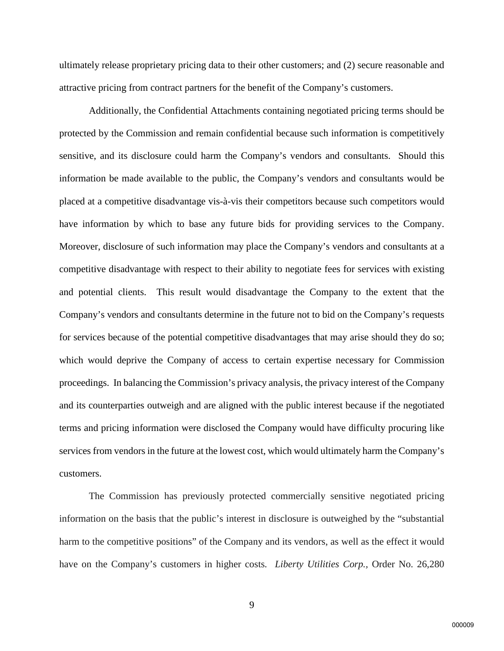ultimately release proprietary pricing data to their other customers; and (2) secure reasonable and attractive pricing from contract partners for the benefit of the Company's customers.

Additionally, the Confidential Attachments containing negotiated pricing terms should be protected by the Commission and remain confidential because such information is competitively sensitive, and its disclosure could harm the Company's vendors and consultants. Should this information be made available to the public, the Company's vendors and consultants would be placed at a competitive disadvantage vis-à-vis their competitors because such competitors would have information by which to base any future bids for providing services to the Company. Moreover, disclosure of such information may place the Company's vendors and consultants at a competitive disadvantage with respect to their ability to negotiate fees for services with existing and potential clients. This result would disadvantage the Company to the extent that the Company's vendors and consultants determine in the future not to bid on the Company's requests for services because of the potential competitive disadvantages that may arise should they do so; which would deprive the Company of access to certain expertise necessary for Commission proceedings. In balancing the Commission's privacy analysis, the privacy interest of the Company and its counterparties outweigh and are aligned with the public interest because if the negotiated terms and pricing information were disclosed the Company would have difficulty procuring like services from vendors in the future at the lowest cost, which would ultimately harm the Company's customers.

The Commission has previously protected commercially sensitive negotiated pricing information on the basis that the public's interest in disclosure is outweighed by the "substantial harm to the competitive positions" of the Company and its vendors, as well as the effect it would have on the Company's customers in higher costs*. Liberty Utilities Corp.,* Order No. 26,280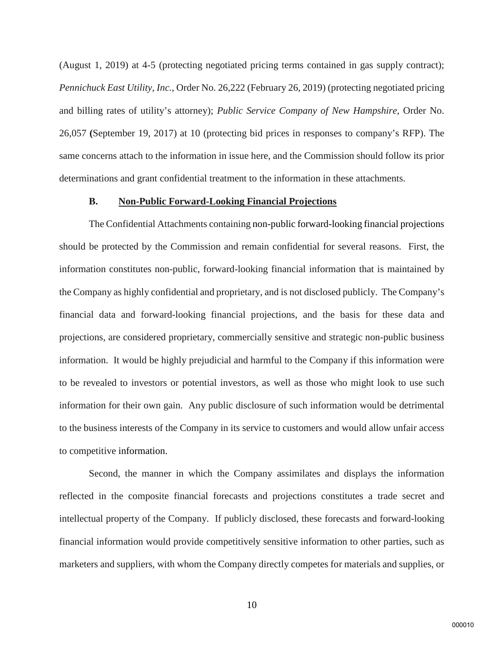(August 1, 2019) at 4-5 (protecting negotiated pricing terms contained in gas supply contract); *Pennichuck East Utility, Inc.*, Order No. 26,222 (February 26, 2019) (protecting negotiated pricing and billing rates of utility's attorney); *Public Service Company of New Hampshire*, Order No. 26,057 **(**September 19, 2017) at 10 (protecting bid prices in responses to company's RFP). The same concerns attach to the information in issue here, and the Commission should follow its prior determinations and grant confidential treatment to the information in these attachments.

## **B. Non-Public Forward-Looking Financial Projections**

The Confidential Attachments containing non-public forward-looking financial projections should be protected by the Commission and remain confidential for several reasons. First, the information constitutes non-public, forward-looking financial information that is maintained by the Company as highly confidential and proprietary, and is not disclosed publicly. The Company's financial data and forward-looking financial projections, and the basis for these data and projections, are considered proprietary, commercially sensitive and strategic non-public business information. It would be highly prejudicial and harmful to the Company if this information were to be revealed to investors or potential investors, as well as those who might look to use such information for their own gain. Any public disclosure of such information would be detrimental to the business interests of the Company in its service to customers and would allow unfair access to competitive information.

Second, the manner in which the Company assimilates and displays the information reflected in the composite financial forecasts and projections constitutes a trade secret and intellectual property of the Company. If publicly disclosed, these forecasts and forward-looking financial information would provide competitively sensitive information to other parties, such as marketers and suppliers, with whom the Company directly competes for materials and supplies, or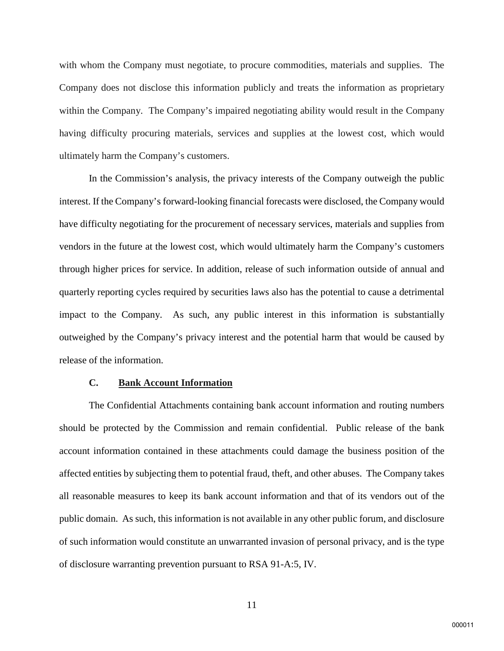with whom the Company must negotiate, to procure commodities, materials and supplies. The Company does not disclose this information publicly and treats the information as proprietary within the Company. The Company's impaired negotiating ability would result in the Company having difficulty procuring materials, services and supplies at the lowest cost, which would ultimately harm the Company's customers.

In the Commission's analysis, the privacy interests of the Company outweigh the public interest. If the Company's forward-looking financial forecasts were disclosed, the Company would have difficulty negotiating for the procurement of necessary services, materials and supplies from vendors in the future at the lowest cost, which would ultimately harm the Company's customers through higher prices for service. In addition, release of such information outside of annual and quarterly reporting cycles required by securities laws also has the potential to cause a detrimental impact to the Company. As such, any public interest in this information is substantially outweighed by the Company's privacy interest and the potential harm that would be caused by release of the information.

### **C. Bank Account Information**

The Confidential Attachments containing bank account information and routing numbers should be protected by the Commission and remain confidential. Public release of the bank account information contained in these attachments could damage the business position of the affected entities by subjecting them to potential fraud, theft, and other abuses. The Company takes all reasonable measures to keep its bank account information and that of its vendors out of the public domain. As such, this information is not available in any other public forum, and disclosure of such information would constitute an unwarranted invasion of personal privacy, and is the type of disclosure warranting prevention pursuant to RSA 91-A:5, IV.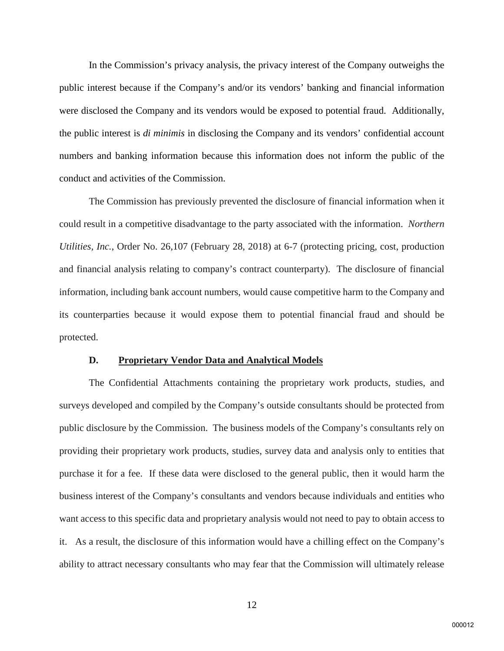In the Commission's privacy analysis, the privacy interest of the Company outweighs the public interest because if the Company's and/or its vendors' banking and financial information were disclosed the Company and its vendors would be exposed to potential fraud. Additionally, the public interest is *di minimis* in disclosing the Company and its vendors' confidential account numbers and banking information because this information does not inform the public of the conduct and activities of the Commission.

The Commission has previously prevented the disclosure of financial information when it could result in a competitive disadvantage to the party associated with the information. *Northern Utilities, Inc.*, Order No. 26,107 (February 28, 2018) at 6-7 (protecting pricing, cost, production and financial analysis relating to company's contract counterparty). The disclosure of financial information, including bank account numbers, would cause competitive harm to the Company and its counterparties because it would expose them to potential financial fraud and should be protected.

## **D. Proprietary Vendor Data and Analytical Models**

The Confidential Attachments containing the proprietary work products, studies, and surveys developed and compiled by the Company's outside consultants should be protected from public disclosure by the Commission. The business models of the Company's consultants rely on providing their proprietary work products, studies, survey data and analysis only to entities that purchase it for a fee. If these data were disclosed to the general public, then it would harm the business interest of the Company's consultants and vendors because individuals and entities who want access to this specific data and proprietary analysis would not need to pay to obtain access to it. As a result, the disclosure of this information would have a chilling effect on the Company's ability to attract necessary consultants who may fear that the Commission will ultimately release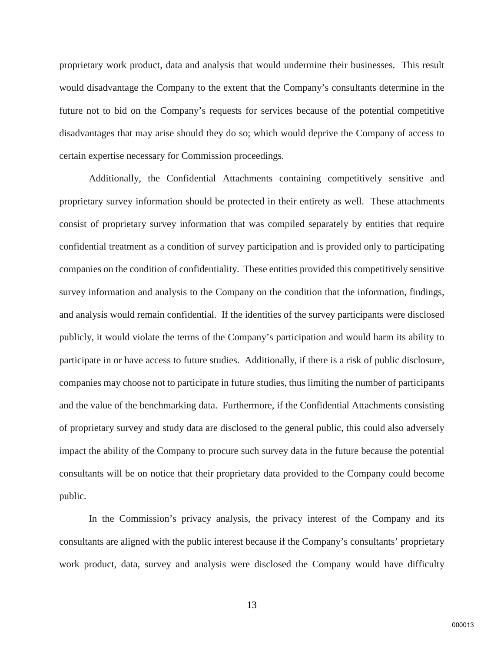proprietary work product, data and analysis that would undermine their businesses. This result would disadvantage the Company to the extent that the Company's consultants determine in the future not to bid on the Company's requests for services because of the potential competitive disadvantages that may arise should they do so; which would deprive the Company of access to certain expertise necessary for Commission proceedings.

Additionally, the Confidential Attachments containing competitively sensitive and proprietary survey information should be protected in their entirety as well. These attachments consist of proprietary survey information that was compiled separately by entities that require confidential treatment as a condition of survey participation and is provided only to participating companies on the condition of confidentiality. These entities provided this competitively sensitive survey information and analysis to the Company on the condition that the information, findings, and analysis would remain confidential. If the identities of the survey participants were disclosed publicly, it would violate the terms of the Company's participation and would harm its ability to participate in or have access to future studies. Additionally, if there is a risk of public disclosure, companies may choose not to participate in future studies, thus limiting the number of participants and the value of the benchmarking data. Furthermore, if the Confidential Attachments consisting of proprietary survey and study data are disclosed to the general public, this could also adversely impact the ability of the Company to procure such survey data in the future because the potential consultants will be on notice that their proprietary data provided to the Company could become public.

In the Commission's privacy analysis, the privacy interest of the Company and its consultants are aligned with the public interest because if the Company's consultants' proprietary work product, data, survey and analysis were disclosed the Company would have difficulty

13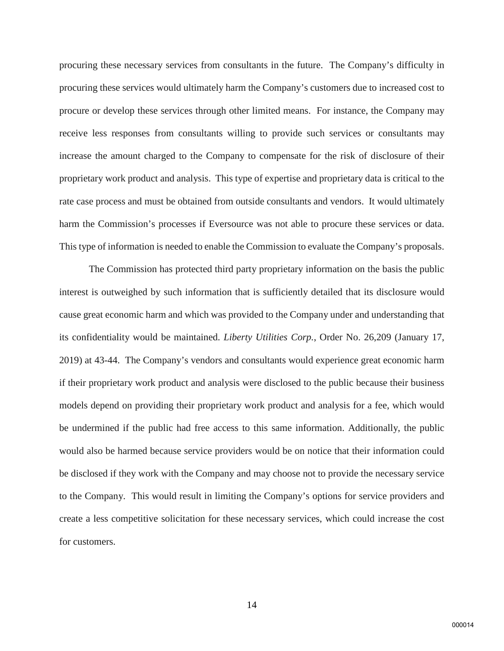procuring these necessary services from consultants in the future. The Company's difficulty in procuring these services would ultimately harm the Company's customers due to increased cost to procure or develop these services through other limited means. For instance, the Company may receive less responses from consultants willing to provide such services or consultants may increase the amount charged to the Company to compensate for the risk of disclosure of their proprietary work product and analysis. This type of expertise and proprietary data is critical to the rate case process and must be obtained from outside consultants and vendors. It would ultimately harm the Commission's processes if Eversource was not able to procure these services or data. This type of information is needed to enable the Commission to evaluate the Company's proposals.

The Commission has protected third party proprietary information on the basis the public interest is outweighed by such information that is sufficiently detailed that its disclosure would cause great economic harm and which was provided to the Company under and understanding that its confidentiality would be maintained. *Liberty Utilities Corp.*, Order No. 26,209 (January 17, 2019) at 43-44. The Company's vendors and consultants would experience great economic harm if their proprietary work product and analysis were disclosed to the public because their business models depend on providing their proprietary work product and analysis for a fee, which would be undermined if the public had free access to this same information. Additionally, the public would also be harmed because service providers would be on notice that their information could be disclosed if they work with the Company and may choose not to provide the necessary service to the Company. This would result in limiting the Company's options for service providers and create a less competitive solicitation for these necessary services, which could increase the cost for customers.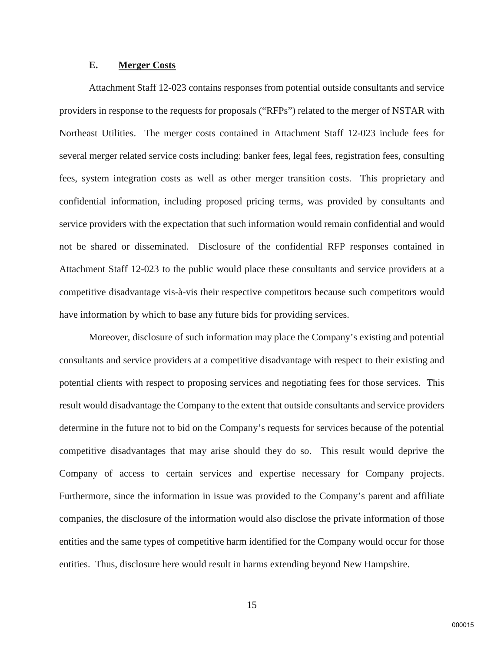## **E. Merger Costs**

Attachment Staff 12-023 contains responses from potential outside consultants and service providers in response to the requests for proposals ("RFPs") related to the merger of NSTAR with Northeast Utilities. The merger costs contained in Attachment Staff 12-023 include fees for several merger related service costs including: banker fees, legal fees, registration fees, consulting fees, system integration costs as well as other merger transition costs. This proprietary and confidential information, including proposed pricing terms, was provided by consultants and service providers with the expectation that such information would remain confidential and would not be shared or disseminated. Disclosure of the confidential RFP responses contained in Attachment Staff 12-023 to the public would place these consultants and service providers at a competitive disadvantage vis-à-vis their respective competitors because such competitors would have information by which to base any future bids for providing services.

Moreover, disclosure of such information may place the Company's existing and potential consultants and service providers at a competitive disadvantage with respect to their existing and potential clients with respect to proposing services and negotiating fees for those services. This result would disadvantage the Company to the extent that outside consultants and service providers determine in the future not to bid on the Company's requests for services because of the potential competitive disadvantages that may arise should they do so. This result would deprive the Company of access to certain services and expertise necessary for Company projects. Furthermore, since the information in issue was provided to the Company's parent and affiliate companies, the disclosure of the information would also disclose the private information of those entities and the same types of competitive harm identified for the Company would occur for those entities. Thus, disclosure here would result in harms extending beyond New Hampshire.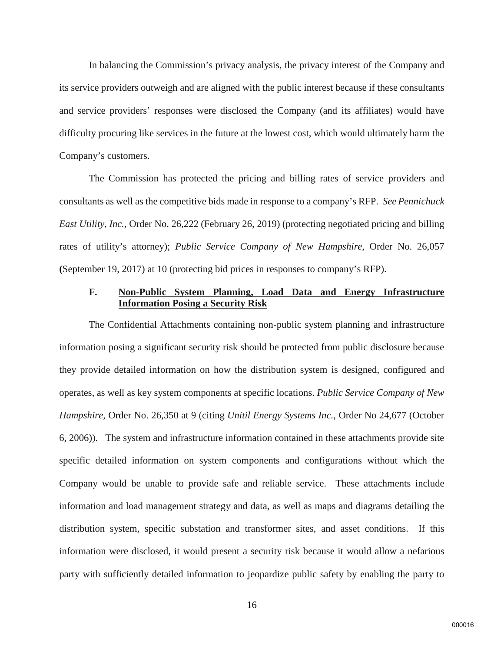In balancing the Commission's privacy analysis, the privacy interest of the Company and its service providers outweigh and are aligned with the public interest because if these consultants and service providers' responses were disclosed the Company (and its affiliates) would have difficulty procuring like services in the future at the lowest cost, which would ultimately harm the Company's customers.

The Commission has protected the pricing and billing rates of service providers and consultants as well as the competitive bids made in response to a company's RFP. *See Pennichuck East Utility, Inc.,* Order No. 26,222 (February 26, 2019) (protecting negotiated pricing and billing rates of utility's attorney); *Public Service Company of New Hampshire*, Order No. 26,057 **(**September 19, 2017) at 10 (protecting bid prices in responses to company's RFP).

# **F. Non-Public System Planning, Load Data and Energy Infrastructure Information Posing a Security Risk**

The Confidential Attachments containing non-public system planning and infrastructure information posing a significant security risk should be protected from public disclosure because they provide detailed information on how the distribution system is designed, configured and operates, as well as key system components at specific locations. *Public Service Company of New Hampshire,* Order No. 26,350 at 9 (citing *Unitil Energy Systems Inc.*, Order No 24,677 (October 6, 2006)). The system and infrastructure information contained in these attachments provide site specific detailed information on system components and configurations without which the Company would be unable to provide safe and reliable service. These attachments include information and load management strategy and data, as well as maps and diagrams detailing the distribution system, specific substation and transformer sites, and asset conditions. If this information were disclosed, it would present a security risk because it would allow a nefarious party with sufficiently detailed information to jeopardize public safety by enabling the party to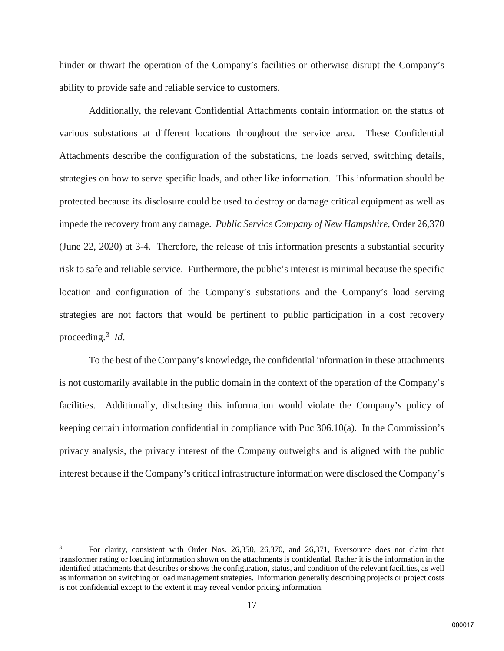hinder or thwart the operation of the Company's facilities or otherwise disrupt the Company's ability to provide safe and reliable service to customers.

Additionally, the relevant Confidential Attachments contain information on the status of various substations at different locations throughout the service area. These Confidential Attachments describe the configuration of the substations, the loads served, switching details, strategies on how to serve specific loads, and other like information. This information should be protected because its disclosure could be used to destroy or damage critical equipment as well as impede the recovery from any damage. *Public Service Company of New Hampshire*, Order 26,370 (June 22, 2020) at 3-4. Therefore, the release of this information presents a substantial security risk to safe and reliable service. Furthermore, the public's interest is minimal because the specific location and configuration of the Company's substations and the Company's load serving strategies are not factors that would be pertinent to public participation in a cost recovery proceeding.[3](#page-16-0) *Id*.

To the best of the Company's knowledge, the confidential information in these attachments is not customarily available in the public domain in the context of the operation of the Company's facilities. Additionally, disclosing this information would violate the Company's policy of keeping certain information confidential in compliance with Puc 306.10(a). In the Commission's privacy analysis, the privacy interest of the Company outweighs and is aligned with the public interest because if the Company's critical infrastructure information were disclosed the Company's

 $\overline{\phantom{a}}$ 

<span id="page-16-0"></span><sup>3</sup> For clarity, consistent with Order Nos. 26,350, 26,370, and 26,371, Eversource does not claim that transformer rating or loading information shown on the attachments is confidential. Rather it is the information in the identified attachments that describes or shows the configuration, status, and condition of the relevant facilities, as well as information on switching or load management strategies. Information generally describing projects or project costs is not confidential except to the extent it may reveal vendor pricing information.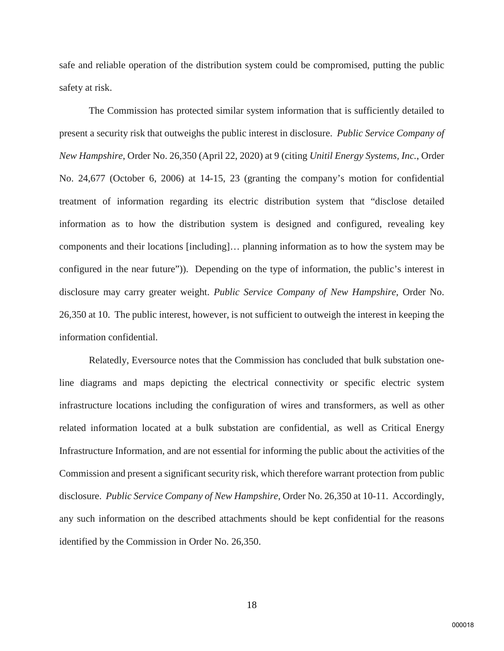safe and reliable operation of the distribution system could be compromised, putting the public safety at risk.

The Commission has protected similar system information that is sufficiently detailed to present a security risk that outweighs the public interest in disclosure. *Public Service Company of New Hampshire*, Order No. 26,350 (April 22, 2020) at 9 (citing *Unitil Energy Systems, Inc.*, Order No. 24,677 (October 6, 2006) at 14-15, 23 (granting the company's motion for confidential treatment of information regarding its electric distribution system that "disclose detailed information as to how the distribution system is designed and configured, revealing key components and their locations [including]… planning information as to how the system may be configured in the near future")). Depending on the type of information, the public's interest in disclosure may carry greater weight. *Public Service Company of New Hampshire*, Order No. 26,350 at 10. The public interest, however, is not sufficient to outweigh the interest in keeping the information confidential.

Relatedly, Eversource notes that the Commission has concluded that bulk substation oneline diagrams and maps depicting the electrical connectivity or specific electric system infrastructure locations including the configuration of wires and transformers, as well as other related information located at a bulk substation are confidential, as well as Critical Energy Infrastructure Information, and are not essential for informing the public about the activities of the Commission and present a significant security risk, which therefore warrant protection from public disclosure. *Public Service Company of New Hampshire*, Order No. 26,350 at 10-11. Accordingly, any such information on the described attachments should be kept confidential for the reasons identified by the Commission in Order No. 26,350.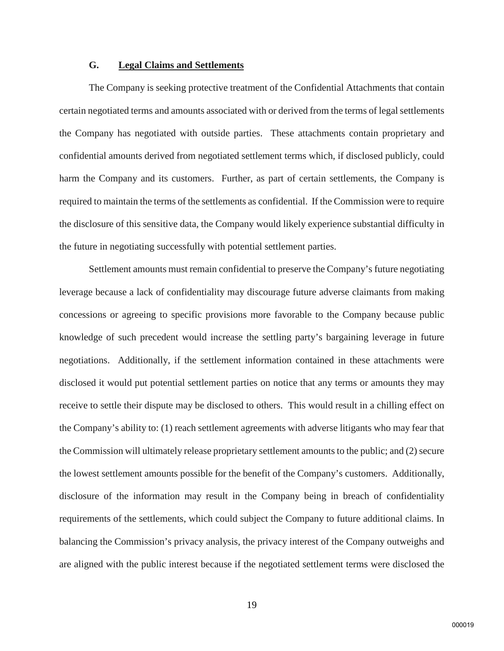# **G. Legal Claims and Settlements**

The Company is seeking protective treatment of the Confidential Attachments that contain certain negotiated terms and amounts associated with or derived from the terms of legal settlements the Company has negotiated with outside parties. These attachments contain proprietary and confidential amounts derived from negotiated settlement terms which, if disclosed publicly, could harm the Company and its customers. Further, as part of certain settlements, the Company is required to maintain the terms of the settlements as confidential. If the Commission were to require the disclosure of this sensitive data, the Company would likely experience substantial difficulty in the future in negotiating successfully with potential settlement parties.

Settlement amounts must remain confidential to preserve the Company's future negotiating leverage because a lack of confidentiality may discourage future adverse claimants from making concessions or agreeing to specific provisions more favorable to the Company because public knowledge of such precedent would increase the settling party's bargaining leverage in future negotiations. Additionally, if the settlement information contained in these attachments were disclosed it would put potential settlement parties on notice that any terms or amounts they may receive to settle their dispute may be disclosed to others. This would result in a chilling effect on the Company's ability to: (1) reach settlement agreements with adverse litigants who may fear that the Commission will ultimately release proprietary settlement amounts to the public; and (2) secure the lowest settlement amounts possible for the benefit of the Company's customers. Additionally, disclosure of the information may result in the Company being in breach of confidentiality requirements of the settlements, which could subject the Company to future additional claims. In balancing the Commission's privacy analysis, the privacy interest of the Company outweighs and are aligned with the public interest because if the negotiated settlement terms were disclosed the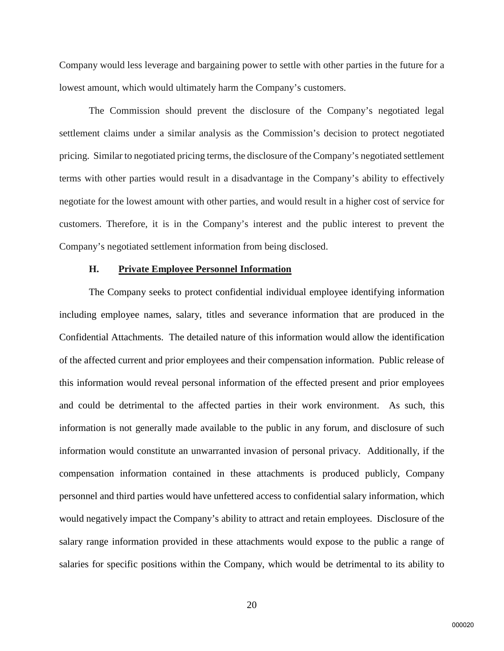Company would less leverage and bargaining power to settle with other parties in the future for a lowest amount, which would ultimately harm the Company's customers.

The Commission should prevent the disclosure of the Company's negotiated legal settlement claims under a similar analysis as the Commission's decision to protect negotiated pricing. Similar to negotiated pricing terms, the disclosure of the Company's negotiated settlement terms with other parties would result in a disadvantage in the Company's ability to effectively negotiate for the lowest amount with other parties, and would result in a higher cost of service for customers. Therefore, it is in the Company's interest and the public interest to prevent the Company's negotiated settlement information from being disclosed.

### **H. Private Employee Personnel Information**

The Company seeks to protect confidential individual employee identifying information including employee names, salary, titles and severance information that are produced in the Confidential Attachments. The detailed nature of this information would allow the identification of the affected current and prior employees and their compensation information. Public release of this information would reveal personal information of the effected present and prior employees and could be detrimental to the affected parties in their work environment. As such, this information is not generally made available to the public in any forum, and disclosure of such information would constitute an unwarranted invasion of personal privacy. Additionally, if the compensation information contained in these attachments is produced publicly, Company personnel and third parties would have unfettered access to confidential salary information, which would negatively impact the Company's ability to attract and retain employees. Disclosure of the salary range information provided in these attachments would expose to the public a range of salaries for specific positions within the Company, which would be detrimental to its ability to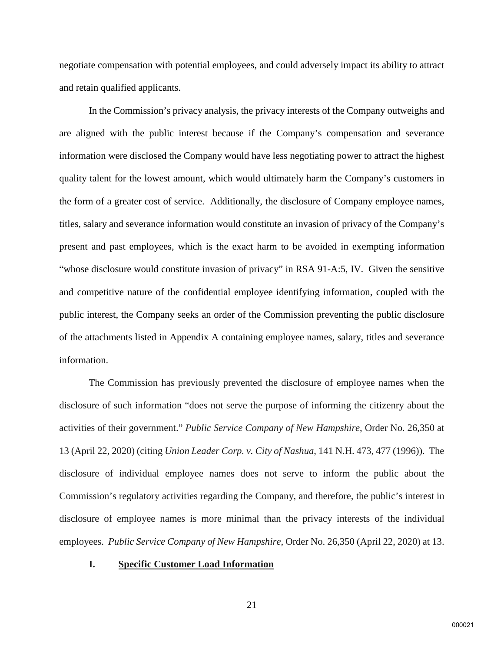negotiate compensation with potential employees, and could adversely impact its ability to attract and retain qualified applicants.

In the Commission's privacy analysis, the privacy interests of the Company outweighs and are aligned with the public interest because if the Company's compensation and severance information were disclosed the Company would have less negotiating power to attract the highest quality talent for the lowest amount, which would ultimately harm the Company's customers in the form of a greater cost of service. Additionally, the disclosure of Company employee names, titles, salary and severance information would constitute an invasion of privacy of the Company's present and past employees, which is the exact harm to be avoided in exempting information "whose disclosure would constitute invasion of privacy" in RSA 91-A:5, IV. Given the sensitive and competitive nature of the confidential employee identifying information, coupled with the public interest, the Company seeks an order of the Commission preventing the public disclosure of the attachments listed in Appendix A containing employee names, salary, titles and severance information.

The Commission has previously prevented the disclosure of employee names when the disclosure of such information "does not serve the purpose of informing the citizenry about the activities of their government." *Public Service Company of New Hampshire*, Order No. 26,350 at 13 (April 22, 2020) (citing *Union Leader Corp. v. City of Nashua*, 141 N.H. 473, 477 (1996)). The disclosure of individual employee names does not serve to inform the public about the Commission's regulatory activities regarding the Company, and therefore, the public's interest in disclosure of employee names is more minimal than the privacy interests of the individual employees. *Public Service Company of New Hampshire*, Order No. 26,350 (April 22, 2020) at 13.

#### **I. Specific Customer Load Information**

21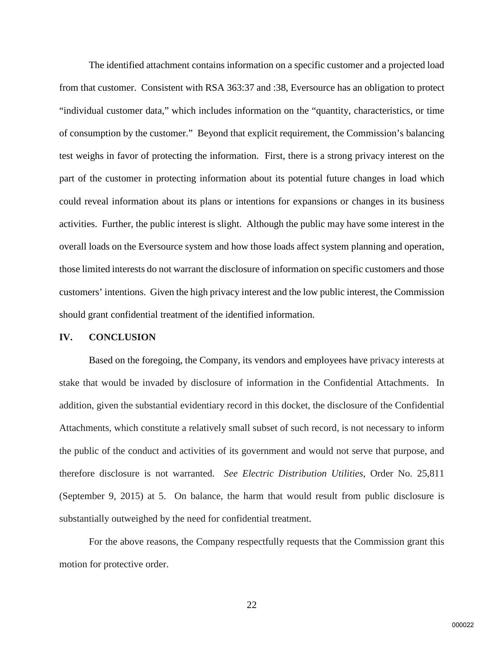The identified attachment contains information on a specific customer and a projected load from that customer. Consistent with RSA 363:37 and :38, Eversource has an obligation to protect "individual customer data," which includes information on the "quantity, characteristics, or time of consumption by the customer." Beyond that explicit requirement, the Commission's balancing test weighs in favor of protecting the information. First, there is a strong privacy interest on the part of the customer in protecting information about its potential future changes in load which could reveal information about its plans or intentions for expansions or changes in its business activities. Further, the public interest is slight. Although the public may have some interest in the overall loads on the Eversource system and how those loads affect system planning and operation, those limited interests do not warrant the disclosure of information on specific customers and those customers' intentions. Given the high privacy interest and the low public interest, the Commission should grant confidential treatment of the identified information.

#### **IV. CONCLUSION**

Based on the foregoing, the Company, its vendors and employees have privacy interests at stake that would be invaded by disclosure of information in the Confidential Attachments. In addition, given the substantial evidentiary record in this docket, the disclosure of the Confidential Attachments, which constitute a relatively small subset of such record, is not necessary to inform the public of the conduct and activities of its government and would not serve that purpose, and therefore disclosure is not warranted. *See Electric Distribution Utilities*, Order No. 25,811 (September 9, 2015) at 5. On balance, the harm that would result from public disclosure is substantially outweighed by the need for confidential treatment.

For the above reasons, the Company respectfully requests that the Commission grant this motion for protective order.

22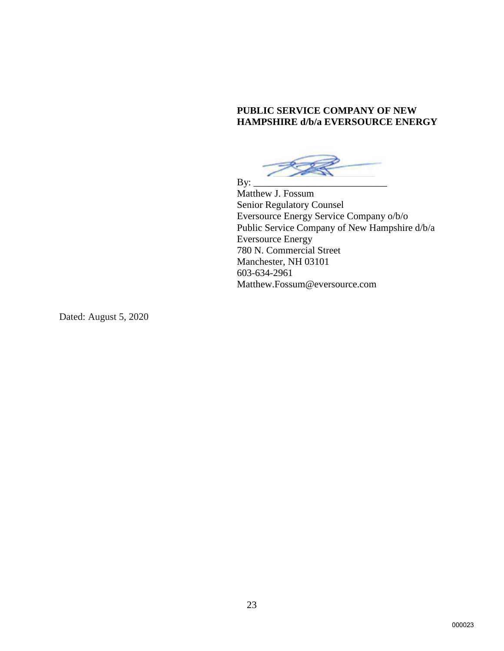# **PUBLIC SERVICE COMPANY OF NEW HAMPSHIRE d/b/a EVERSOURCE ENERGY**

By: \_\_\_\_\_\_\_\_\_\_\_\_\_\_\_\_\_\_\_\_\_\_\_\_\_\_\_

Matthew J. Fossum Senior Regulatory Counsel Eversource Energy Service Company o/b/o Public Service Company of New Hampshire d/b/a Eversource Energy 780 N. Commercial Street Manchester, NH 03101 603-634-2961 Matthew.Fossum@eversource.com

Dated: August 5, 2020